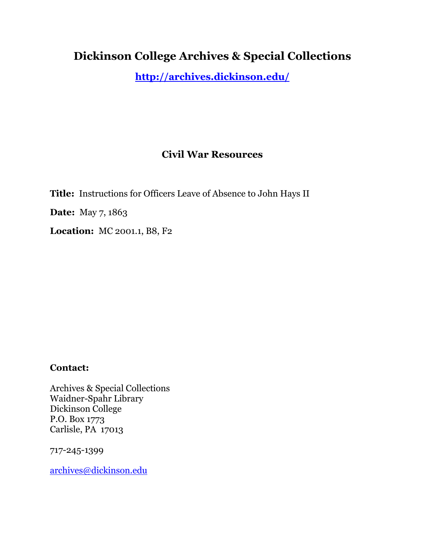## **Dickinson College Archives & Special Collections**

**<http://archives.dickinson.edu/>**

## **Civil War Resources**

**Title:** Instructions for Officers Leave of Absence to John Hays II **Date:** May 7, 1863

**Location:** MC 2001.1, B8, F2

## **Contact:**

Archives & Special Collections Waidner-Spahr Library Dickinson College P.O. Box 1773 Carlisle, PA 17013

717-245-1399

[archives@dickinson.edu](mailto:archives@dickinson.edu)